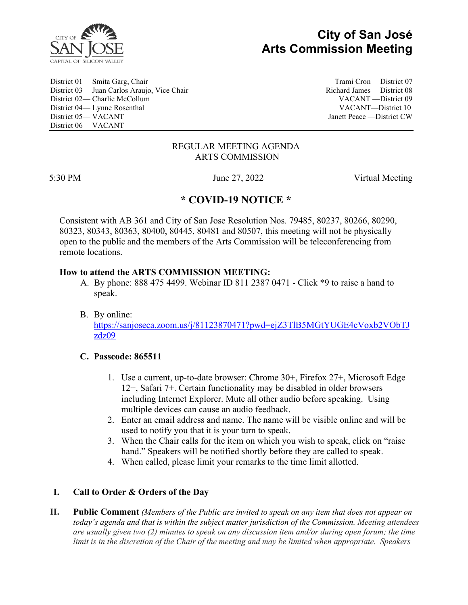

# **City of San José Arts Commission Meeting**

District 01— Smita Garg, Chair Trami Cron —District 07 District 03— Juan Carlos Araujo, Vice Chair Richard James — District 08 District 02— Charlie McCollum VACANT —District 09 District 04— Lynne Rosenthal VACANT—District 10 District 05— VACANT Janett Peace —District CW District 06— VACANT

#### REGULAR MEETING AGENDA ARTS COMMISSION

5:30 PM June 27, 2022 Virtual Meeting

## **\* COVID-19 NOTICE \***

Consistent with AB 361 and City of San Jose Resolution Nos. 79485, 80237, 80266, 80290, 80323, 80343, 80363, 80400, 80445, 80481 and 80507, this meeting will not be physically open to the public and the members of the Arts Commission will be teleconferencing from remote locations.

#### **How to attend the ARTS COMMISSION MEETING:**

- A. By phone: 888 475 4499. Webinar ID 811 2387 0471 Click \*9 to raise a hand to speak.
- B. By online: [https://sanjoseca.zoom.us/j/81123870471?pwd=ejZ3TlB5MGtYUGE4cVoxb2VObTJ](https://sanjoseca.zoom.us/j/81123870471?pwd=ejZ3TlB5MGtYUGE4cVoxb2VObTJzdz09) [zdz09](https://sanjoseca.zoom.us/j/81123870471?pwd=ejZ3TlB5MGtYUGE4cVoxb2VObTJzdz09)

### **C. Passcode: 865511**

- 1. Use a current, up-to-date browser: Chrome 30+, Firefox 27+, Microsoft Edge 12+, Safari 7+. Certain functionality may be disabled in older browsers including Internet Explorer. Mute all other audio before speaking. Using multiple devices can cause an audio feedback.
- 2. Enter an email address and name. The name will be visible online and will be used to notify you that it is your turn to speak.
- 3. When the Chair calls for the item on which you wish to speak, click on "raise hand." Speakers will be notified shortly before they are called to speak.
- 4. When called, please limit your remarks to the time limit allotted.

## **I. Call to Order & Orders of the Day**

**II. Public Comment** *(Members of the Public are invited to speak on any item that does not appear on today's agenda and that is within the subject matter jurisdiction of the Commission. Meeting attendees are usually given two (2) minutes to speak on any discussion item and/or during open forum; the time limit is in the discretion of the Chair of the meeting and may be limited when appropriate. Speakers*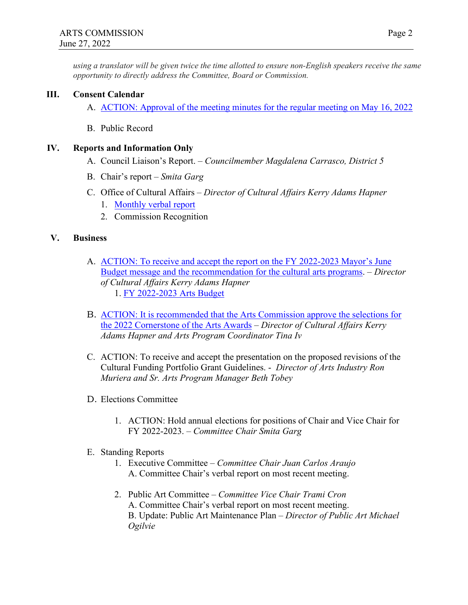*using a translator will be given twice the time allotted to ensure non-English speakers receive the same opportunity to directly address the Committee, Board or Commission.* 

#### **III. Consent Calendar**

- A. [ACTION: Approval of the meeting minutes for the regular meeting on May 16, 2022](https://www.sanjoseca.gov/home/showdocument?id=87201&t=637909600237563569)
- B. Public Record

#### **IV. Reports and Information Only**

- A. Council Liaison's Report. *Councilmember Magdalena Carrasco, District 5*
- B. Chair's report *Smita Garg*
- C. Office of Cultural Affairs *Director of Cultural Affairs Kerry Adams Hapner*
	- 1. [Monthly verbal report](https://www.sanjoseca.gov/home/showdocument?id=87199&t=637909599499270788)
	- 2. Commission Recognition

#### **V. Business**

- A. [ACTION: To receive and accept the report on the FY 2022-2023 Mayor's June](https://sanjose.legistar.com/View.ashx?M=F&ID=10968564&GUID=2EEAF73C-A605-4886-B54A-7D769F2CB318)  [Budget message and the recommendation for the cultural arts programs.](https://sanjose.legistar.com/View.ashx?M=F&ID=10968564&GUID=2EEAF73C-A605-4886-B54A-7D769F2CB318) – *Director of Cultural Affairs Kerry Adams Hapner* 1. [FY 2022-2023 Arts Budget](https://www.sanjoseca.gov/home/showdocument?id=87203&t=637909615150688307)
- B. [ACTION: It is recommended that the Arts Commission approve the selections for](https://www.sanjoseca.gov/home/showdocument?id=87197&t=637909599125830641)  [the 2022 Cornerstone of the Arts Awards](https://www.sanjoseca.gov/home/showdocument?id=87197&t=637909599125830641) – *Director of Cultural Affairs Kerry Adams Hapner and Arts Program Coordinator Tina Iv*
- C. ACTION: To receive and accept the presentation on the proposed revisions of the Cultural Funding Portfolio Grant Guidelines. - *Director of Arts Industry Ron Muriera and Sr. Arts Program Manager Beth Tobey*
- D. Elections Committee
	- 1. ACTION: Hold annual elections for positions of Chair and Vice Chair for FY 2022-2023. – *Committee Chair Smita Garg*
- E. Standing Reports
	- 1. Executive Committee *Committee Chair Juan Carlos Araujo* A. Committee Chair's verbal report on most recent meeting.
	- 2. Public Art Committee *Committee Vice Chair Trami Cron*  A. Committee Chair's verbal report on most recent meeting. B. Update: Public Art Maintenance Plan – *Director of Public Art Michael Ogilvie*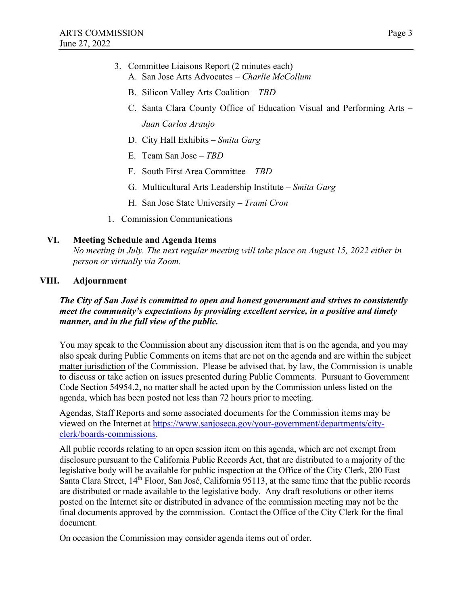- 3. Committee Liaisons Report (2 minutes each) A. San Jose Arts Advocates – *Charlie McCollum*
	- B. Silicon Valley Arts Coalition *TBD*
	- C. Santa Clara County Office of Education Visual and Performing Arts *Juan Carlos Araujo*
	- D. City Hall Exhibits *Smita Garg*
	- E. Team San Jose *TBD*
	- F. South First Area Committee *TBD*
	- G. Multicultural Arts Leadership Institute *Smita Garg*
	- H. San Jose State University *Trami Cron*
- 1. Commission Communications

#### **VI. Meeting Schedule and Agenda Items**

*No meeting in July. The next regular meeting will take place on August 15, 2022 either in person or virtually via Zoom.* 

#### **VIII. Adjournment**

*The City of San José is committed to open and honest government and strives to consistently meet the community's expectations by providing excellent service, in a positive and timely manner, and in the full view of the public.*

You may speak to the Commission about any discussion item that is on the agenda, and you may also speak during Public Comments on items that are not on the agenda and are within the subject matter jurisdiction of the Commission. Please be advised that, by law, the Commission is unable to discuss or take action on issues presented during Public Comments. Pursuant to Government Code Section 54954.2, no matter shall be acted upon by the Commission unless listed on the agenda, which has been posted not less than 72 hours prior to meeting.

Agendas, Staff Reports and some associated documents for the Commission items may be viewed on the Internet at [https://www.sanjoseca.gov/your-government/departments/city](https://www.sanjoseca.gov/your-government/departments/city-clerk/boards-commissions)[clerk/boards-commissions.](https://www.sanjoseca.gov/your-government/departments/city-clerk/boards-commissions)

All public records relating to an open session item on this agenda, which are not exempt from disclosure pursuant to the California Public Records Act, that are distributed to a majority of the legislative body will be available for public inspection at the Office of the City Clerk, 200 East Santa Clara Street, 14<sup>th</sup> Floor, San José, California 95113, at the same time that the public records are distributed or made available to the legislative body. Any draft resolutions or other items posted on the Internet site or distributed in advance of the commission meeting may not be the final documents approved by the commission. Contact the Office of the City Clerk for the final document.

On occasion the Commission may consider agenda items out of order.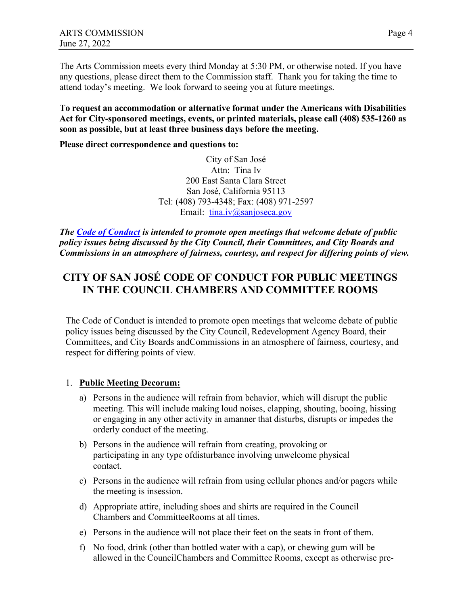The Arts Commission meets every third Monday at 5:30 PM, or otherwise noted. If you have any questions, please direct them to the Commission staff. Thank you for taking the time to attend today's meeting. We look forward to seeing you at future meetings.

**To request an accommodation or alternative format under the Americans with Disabilities Act for City-sponsored meetings, events, or printed materials, please call (408) 535-1260 as soon as possible, but at least three business days before the meeting.** 

**Please direct correspondence and questions to:**

City of San José Attn: Tina Iv 200 East Santa Clara Street San José, California 95113 Tel: (408) 793-4348; Fax: (408) 971-2597 Email: [tina.iv@sanjoseca.gov](mailto:tina.iv@sanjoseca.gov)

*The [Code of Conduct](https://www.sanjoseca.gov/home/showpublisheddocument/12901/636670004966630000) is intended to promote open meetings that welcome debate of public policy issues being discussed by the City Council, their Committees, and City Boards and Commissions in an atmosphere of fairness, courtesy, and respect for differing points of view.*

## **CITY OF SAN JOSÉ CODE OF CONDUCT FOR PUBLIC MEETINGS IN THE COUNCIL CHAMBERS AND COMMITTEE ROOMS**

The Code of Conduct is intended to promote open meetings that welcome debate of public policy issues being discussed by the City Council, Redevelopment Agency Board, their Committees, and City Boards andCommissions in an atmosphere of fairness, courtesy, and respect for differing points of view.

### 1. **Public Meeting Decorum:**

- a) Persons in the audience will refrain from behavior, which will disrupt the public meeting. This will include making loud noises, clapping, shouting, booing, hissing or engaging in any other activity in amanner that disturbs, disrupts or impedes the orderly conduct of the meeting.
- b) Persons in the audience will refrain from creating, provoking or participating in any type of disturbance involving unwelcome physical contact.
- c) Persons in the audience will refrain from using cellular phones and/or pagers while the meeting is insession.
- d) Appropriate attire, including shoes and shirts are required in the Council Chambers and Committee Rooms at all times.
- e) Persons in the audience will not place their feet on the seats in front of them.
- f) No food, drink (other than bottled water with a cap), or chewing gum will be allowed in the Council Chambers and Committee Rooms, except as otherwise pre-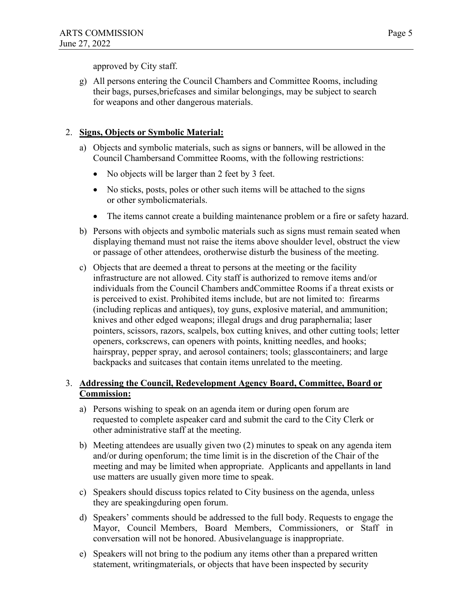approved by City staff.

g) All persons entering the Council Chambers and Committee Rooms, including their bags, purses, briefcases and similar belongings, may be subject to search for weapons and other dangerous materials.

## 2. **Signs, Objects or Symbolic Material:**

- a) Objects and symbolic materials, such as signs or banners, will be allowed in the Council Chambersand Committee Rooms, with the following restrictions:
	- No objects will be larger than 2 feet by 3 feet.
	- No sticks, posts, poles or other such items will be attached to the signs or other symbolic materials.
	- The items cannot create a building maintenance problem or a fire or safety hazard.
- b) Persons with objects and symbolic materials such as signs must remain seated when displaying them and must not raise the items above shoulder level, obstruct the view or passage of other attendees, or otherwise disturb the business of the meeting.
- c) Objects that are deemed a threat to persons at the meeting or the facility infrastructure are not allowed. City staff is authorized to remove items and/or individuals from the Council Chambers and Committee Rooms if a threat exists or is perceived to exist. Prohibited items include, but are not limited to: firearms (including replicas and antiques), toy guns, explosive material, and ammunition; knives and other edged weapons; illegal drugs and drug paraphernalia; laser pointers, scissors, razors, scalpels, box cutting knives, and other cutting tools; letter openers, corkscrews, can openers with points, knitting needles, and hooks; hairspray, pepper spray, and aerosol containers; tools; glass containers; and large backpacks and suitcases that contain items unrelated to the meeting.

## 3. **Addressing the Council, Redevelopment Agency Board, Committee, Board or Commission:**

- a) Persons wishing to speak on an agenda item or during open forum are requested to complete aspeaker card and submit the card to the City Clerk or other administrative staff at the meeting.
- b) Meeting attendees are usually given two (2) minutes to speak on any agenda item and/or during open forum; the time limit is in the discretion of the Chair of the meeting and may be limited when appropriate. Applicants and appellants in land use matters are usually given more time to speak.
- c) Speakers should discuss topics related to City business on the agenda, unless they are speaking during open forum.
- d) Speakers' comments should be addressed to the full body. Requests to engage the Mayor, Council Members, Board Members, Commissioners, or Staff in conversation will not be honored. Abusive language is inappropriate.
- e) Speakers will not bring to the podium any items other than a prepared written statement, writing materials, or objects that have been inspected by security